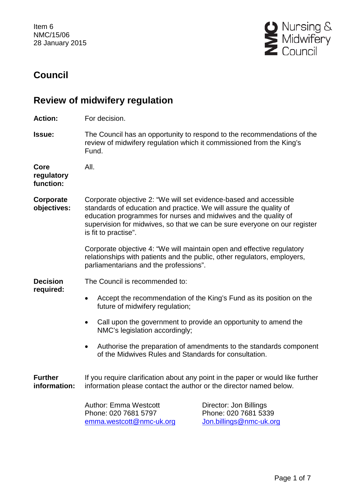Item 6 NMC/15/06 28 January 2015



# **Council**

# **Review of midwifery regulation**

**Action:** For decision.

**Issue:** The Council has an opportunity to respond to the recommendations of the review of midwifery regulation which it commissioned from the King's Fund.

**Core regulatory function:** All. **Corporate objectives:** Corporate objective 2: "We will set evidence-based and accessible standards of education and practice. We will assure the quality of education programmes for nurses and midwives and the quality of supervision for midwives, so that we can be sure everyone on our register is fit to practise". Corporate objective 4: "We will maintain open and effective regulatory relationships with patients and the public, other regulators, employers, parliamentarians and the professions". **Decision required:** The Council is recommended to: • Accept the recommendation of the King's Fund as its position on the future of midwifery regulation; • Call upon the government to provide an opportunity to amend the NMC's legislation accordingly; • Authorise the preparation of amendments to the standards component of the Midwives Rules and Standards for consultation.

**Further information:** If you require clarification about any point in the paper or would like further information please contact the author or the director named below.

> Author: Emma Westcott Phone: 020 7681 5797 [emma.westcott@nmc-uk.org](mailto:emma.westcott@nmc-uk.org)

Director: Jon Billings Phone: 020 7681 5339 [Jon.billings@nmc-uk.org](mailto:Jon.billings@nmc-uk.org)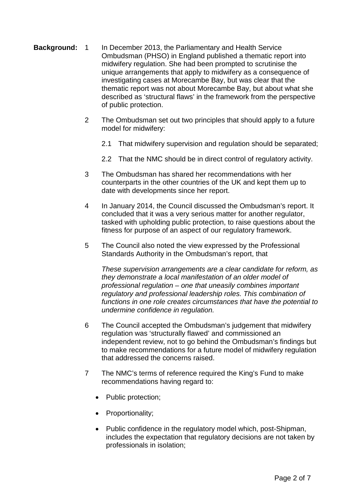- Background: 1 In December 2013, the Parliamentary and Health Service Ombudsman (PHSO) in England published a thematic report into midwifery regulation. She had been prompted to scrutinise the unique arrangements that apply to midwifery as a consequence of investigating cases at Morecambe Bay, but was clear that the thematic report was not about Morecambe Bay, but about what she described as 'structural flaws' in the framework from the perspective of public protection.
	- 2 The Ombudsman set out two principles that should apply to a future model for midwifery:
		- 2.1 That midwifery supervision and regulation should be separated;
		- 2.2 That the NMC should be in direct control of regulatory activity.
	- 3 The Ombudsman has shared her recommendations with her counterparts in the other countries of the UK and kept them up to date with developments since her report.
	- 4 In January 2014, the Council discussed the Ombudsman's report. It concluded that it was a very serious matter for another regulator, tasked with upholding public protection, to raise questions about the fitness for purpose of an aspect of our regulatory framework.
	- 5 The Council also noted the view expressed by the Professional Standards Authority in the Ombudsman's report, that

*These supervision arrangements are a clear candidate for reform, as they demonstrate a local manifestation of an older model of professional regulation – one that uneasily combines important regulatory and professional leadership roles. This combination of functions in one role creates circumstances that have the potential to undermine confidence in regulation.*

- 6 The Council accepted the Ombudsman's judgement that midwifery regulation was 'structurally flawed' and commissioned an independent review, not to go behind the Ombudsman's findings but to make recommendations for a future model of midwifery regulation that addressed the concerns raised.
- 7 The NMC's terms of reference required the King's Fund to make recommendations having regard to:
	- Public protection;
	- Proportionality;
	- Public confidence in the regulatory model which, post-Shipman, includes the expectation that regulatory decisions are not taken by professionals in isolation;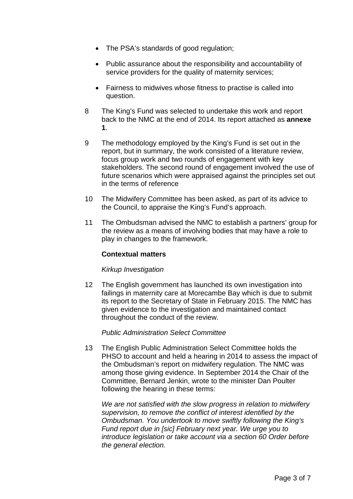- The PSA's standards of good regulation;
- Public assurance about the responsibility and accountability of service providers for the quality of maternity services;
- Fairness to midwives whose fitness to practise is called into question.
- 8 The King's Fund was selected to undertake this work and report back to the NMC at the end of 2014. Its report attached as **annexe 1**.
- 9 The methodology employed by the King's Fund is set out in the report, but in summary, the work consisted of a literature review, focus group work and two rounds of engagement with key stakeholders. The second round of engagement involved the use of future scenarios which were appraised against the principles set out in the terms of reference
- 10 The Midwifery Committee has been asked, as part of its advice to the Council, to appraise the King's Fund's approach.
- 11 The Ombudsman advised the NMC to establish a partners' group for the review as a means of involving bodies that may have a role to play in changes to the framework.

#### **Contextual matters**

#### *Kirkup Investigation*

12 The English government has launched its own investigation into failings in maternity care at Morecambe Bay which is due to submit its report to the Secretary of State in February 2015. The NMC has given evidence to the investigation and maintained contact throughout the conduct of the review.

#### *Public Administration Select Committee*

13 The English Public Administration Select Committee holds the PHSO to account and held a hearing in 2014 to assess the impact of the Ombudsman's report on midwifery regulation. The NMC was among those giving evidence. In September 2014 the Chair of the Committee, Bernard Jenkin, wrote to the minister Dan Poulter following the hearing in these terms:

*We are not satisfied with the slow progress in relation to midwifery supervision, to remove the conflict of interest identified by the Ombudsman. You undertook to move swiftly following the King's Fund report due in [sic] February next year. We urge you to introduce legislation or take account via a section 60 Order before the general election.*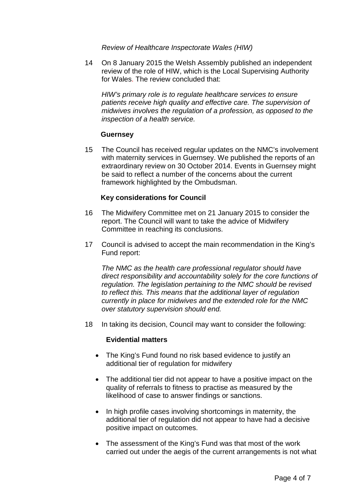*Review of Healthcare Inspectorate Wales (HIW)*

14 On 8 January 2015 the Welsh Assembly published an independent review of the role of HIW, which is the Local Supervising Authority for Wales. The review concluded that:

*HIW's primary role is to regulate healthcare services to ensure patients receive high quality and effective care. The supervision of midwives involves the regulation of a profession, as opposed to the inspection of a health service.*

#### **Guernsey**

15 The Council has received regular updates on the NMC's involvement with maternity services in Guernsey. We published the reports of an extraordinary review on 30 October 2014. Events in Guernsey might be said to reflect a number of the concerns about the current framework highlighted by the Ombudsman.

#### **Key considerations for Council**

- 16 The Midwifery Committee met on 21 January 2015 to consider the report. The Council will want to take the advice of Midwifery Committee in reaching its conclusions.
- 17 Council is advised to accept the main recommendation in the King's Fund report:

*The NMC as the health care professional regulator should have direct responsibility and accountability solely for the core functions of regulation. The legislation pertaining to the NMC should be revised to reflect this. This means that the additional layer of regulation currently in place for midwives and the extended role for the NMC over statutory supervision should end.*

18 In taking its decision, Council may want to consider the following:

#### **Evidential matters**

- The King's Fund found no risk based evidence to justify an additional tier of regulation for midwifery
- The additional tier did not appear to have a positive impact on the quality of referrals to fitness to practise as measured by the likelihood of case to answer findings or sanctions.
- In high profile cases involving shortcomings in maternity, the additional tier of regulation did not appear to have had a decisive positive impact on outcomes.
- The assessment of the King's Fund was that most of the work carried out under the aegis of the current arrangements is not what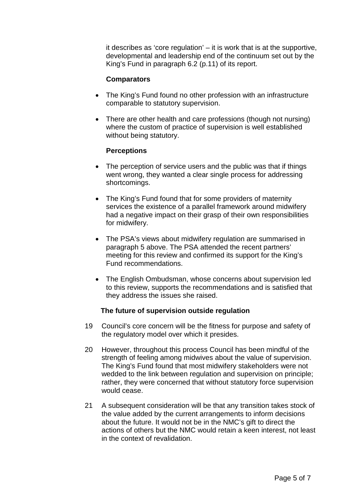it describes as 'core regulation' – it is work that is at the supportive, developmental and leadership end of the continuum set out by the King's Fund in paragraph 6.2 (p.11) of its report.

#### **Comparators**

- The King's Fund found no other profession with an infrastructure comparable to statutory supervision.
- There are other health and care professions (though not nursing) where the custom of practice of supervision is well established without being statutory.

#### **Perceptions**

- The perception of service users and the public was that if things went wrong, they wanted a clear single process for addressing shortcomings.
- The King's Fund found that for some providers of maternity services the existence of a parallel framework around midwifery had a negative impact on their grasp of their own responsibilities for midwifery.
- The PSA's views about midwifery regulation are summarised in paragraph 5 above. The PSA attended the recent partners' meeting for this review and confirmed its support for the King's Fund recommendations.
- The English Ombudsman, whose concerns about supervision led to this review, supports the recommendations and is satisfied that they address the issues she raised.

#### **The future of supervision outside regulation**

- 19 Council's core concern will be the fitness for purpose and safety of the regulatory model over which it presides.
- 20 However, throughout this process Council has been mindful of the strength of feeling among midwives about the value of supervision. The King's Fund found that most midwifery stakeholders were not wedded to the link between regulation and supervision on principle; rather, they were concerned that without statutory force supervision would cease.
- 21 A subsequent consideration will be that any transition takes stock of the value added by the current arrangements to inform decisions about the future. It would not be in the NMC's gift to direct the actions of others but the NMC would retain a keen interest, not least in the context of revalidation.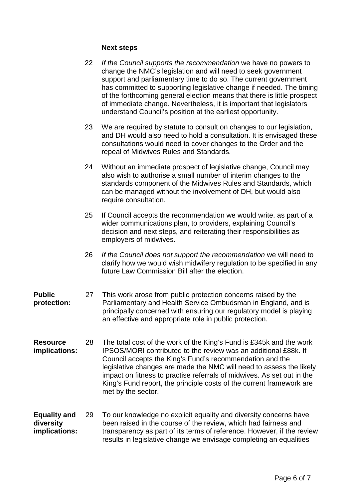#### **Next steps**

- 22 *If the Council supports the recommendation* we have no powers to change the NMC's legislation and will need to seek government support and parliamentary time to do so. The current government has committed to supporting legislative change if needed. The timing of the forthcoming general election means that there is little prospect of immediate change. Nevertheless, it is important that legislators understand Council's position at the earliest opportunity.
- 23 We are required by statute to consult on changes to our legislation, and DH would also need to hold a consultation. It is envisaged these consultations would need to cover changes to the Order and the repeal of Midwives Rules and Standards.
- 24 Without an immediate prospect of legislative change, Council may also wish to authorise a small number of interim changes to the standards component of the Midwives Rules and Standards, which can be managed without the involvement of DH, but would also require consultation.
- 25 If Council accepts the recommendation we would write, as part of a wider communications plan, to providers, explaining Council's decision and next steps, and reiterating their responsibilities as employers of midwives.
- 26 *If the Council does not support the recommendation* we will need to clarify how we would wish midwifery regulation to be specified in any future Law Commission Bill after the election.

#### **Public protection:** 27 This work arose from public protection concerns raised by the Parliamentary and Health Service Ombudsman in England, and is principally concerned with ensuring our regulatory model is playing an effective and appropriate role in public protection.

- **Resource implications:** 28 The total cost of the work of the King's Fund is £345k and the work IPSOS/MORI contributed to the review was an additional £88k. If Council accepts the King's Fund's recommendation and the legislative changes are made the NMC will need to assess the likely impact on fitness to practise referrals of midwives. As set out in the King's Fund report, the principle costs of the current framework are met by the sector.
- **Equality and diversity implications:** 29 To our knowledge no explicit equality and diversity concerns have been raised in the course of the review, which had fairness and transparency as part of its terms of reference. However, if the review results in legislative change we envisage completing an equalities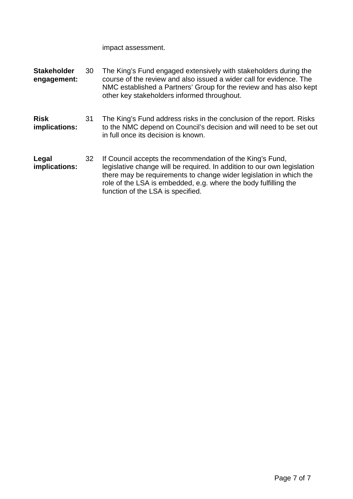impact assessment.

| <b>Stakeholder</b><br>engagement: | 30 | The King's Fund engaged extensively with stakeholders during the<br>course of the review and also issued a wider call for evidence. The<br>NMC established a Partners' Group for the review and has also kept<br>other key stakeholders informed throughout.                                                       |
|-----------------------------------|----|--------------------------------------------------------------------------------------------------------------------------------------------------------------------------------------------------------------------------------------------------------------------------------------------------------------------|
| <b>Risk</b><br>implications:      | 31 | The King's Fund address risks in the conclusion of the report. Risks<br>to the NMC depend on Council's decision and will need to be set out<br>in full once its decision is known.                                                                                                                                 |
| Legal<br>implications:            | 32 | If Council accepts the recommendation of the King's Fund,<br>legislative change will be required. In addition to our own legislation<br>there may be requirements to change wider legislation in which the<br>role of the LSA is embedded, e.g. where the body fulfilling the<br>function of the LSA is specified. |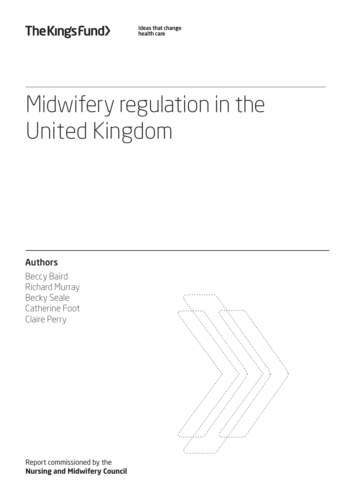The Kings Fund>

Ideas that change health care

# Midwifery regulation in the United Kingdom

# Authors

Beccy Baird Richard Murray Becky Seale Catherine Foot Claire Perry

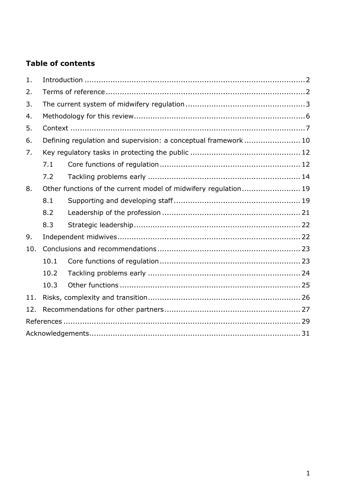# **Table of contents**

| 1.  |                                                                 |  |  |  |  |  |  |  |
|-----|-----------------------------------------------------------------|--|--|--|--|--|--|--|
| 2.  |                                                                 |  |  |  |  |  |  |  |
| 3.  |                                                                 |  |  |  |  |  |  |  |
| 4.  |                                                                 |  |  |  |  |  |  |  |
| 5.  |                                                                 |  |  |  |  |  |  |  |
| 6.  | Defining regulation and supervision: a conceptual framework  10 |  |  |  |  |  |  |  |
| 7.  |                                                                 |  |  |  |  |  |  |  |
|     | 7.1                                                             |  |  |  |  |  |  |  |
|     | 7.2                                                             |  |  |  |  |  |  |  |
| 8.  | Other functions of the current model of midwifery regulation 19 |  |  |  |  |  |  |  |
|     | 8.1                                                             |  |  |  |  |  |  |  |
|     | 8.2                                                             |  |  |  |  |  |  |  |
|     | 8.3                                                             |  |  |  |  |  |  |  |
| 9.  |                                                                 |  |  |  |  |  |  |  |
| 10. |                                                                 |  |  |  |  |  |  |  |
|     | 10.1                                                            |  |  |  |  |  |  |  |
|     | 10.2                                                            |  |  |  |  |  |  |  |
|     | 10.3                                                            |  |  |  |  |  |  |  |
| 11. |                                                                 |  |  |  |  |  |  |  |
| 12. |                                                                 |  |  |  |  |  |  |  |
|     |                                                                 |  |  |  |  |  |  |  |
|     |                                                                 |  |  |  |  |  |  |  |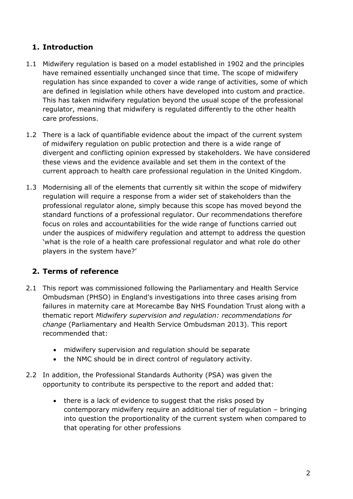# <span id="page-10-0"></span>**1. Introduction**

- 1.1 Midwifery regulation is based on a model established in 1902 and the principles have remained essentially unchanged since that time. The scope of midwifery regulation has since expanded to cover a wide range of activities, some of which are defined in legislation while others have developed into custom and practice. This has taken midwifery regulation beyond the usual scope of the professional regulator, meaning that midwifery is regulated differently to the other health care professions.
- 1.2 There is a lack of quantifiable evidence about the impact of the current system of midwifery regulation on public protection and there is a wide range of divergent and conflicting opinion expressed by stakeholders. We have considered these views and the evidence available and set them in the context of the current approach to health care professional regulation in the United Kingdom.
- 1.3 Modernising all of the elements that currently sit within the scope of midwifery regulation will require a response from a wider set of stakeholders than the professional regulator alone, simply because this scope has moved beyond the standard functions of a professional regulator. Our recommendations therefore focus on roles and accountabilities for the wide range of functions carried out under the auspices of midwifery regulation and attempt to address the question 'what is the role of a health care professional regulator and what role do other players in the system have?'

# <span id="page-10-1"></span>**2. Terms of reference**

- 2.1 This report was commissioned following the Parliamentary and Health Service Ombudsman (PHSO) in England's investigations into three cases arising from failures in maternity care at Morecambe Bay NHS Foundation Trust along with a thematic report *Midwifery supervision and regulation: recommendations for change* (Parliamentary and Health Service Ombudsman 2013). This report recommended that:
	- midwifery supervision and regulation should be separate
	- the NMC should be in direct control of regulatory activity.
- 2.2 In addition, the Professional Standards Authority (PSA) was given the opportunity to contribute its perspective to the report and added that:
	- there is a lack of evidence to suggest that the risks posed by contemporary midwifery require an additional tier of regulation – bringing into question the proportionality of the current system when compared to that operating for other professions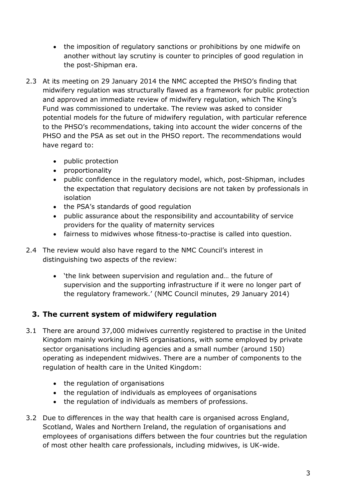- the imposition of regulatory sanctions or prohibitions by one midwife on another without lay scrutiny is counter to principles of good regulation in the post-Shipman era.
- 2.3 At its meeting on 29 January 2014 the NMC accepted the PHSO's finding that midwifery regulation was structurally flawed as a framework for public protection and approved an immediate review of midwifery regulation, which The King's Fund was commissioned to undertake. The review was asked to consider potential models for the future of midwifery regulation, with particular reference to the PHSO's recommendations, taking into account the wider concerns of the PHSO and the PSA as set out in the PHSO report. The recommendations would have regard to:
	- public protection
	- proportionality
	- public confidence in the regulatory model, which, post-Shipman, includes the expectation that regulatory decisions are not taken by professionals in isolation
	- the PSA's standards of good regulation
	- public assurance about the responsibility and accountability of service providers for the quality of maternity services
	- fairness to midwives whose fitness-to-practise is called into question.
- 2.4 The review would also have regard to the NMC Council's interest in distinguishing two aspects of the review:
	- 'the link between supervision and regulation and… the future of supervision and the supporting infrastructure if it were no longer part of the regulatory framework.' (NMC Council minutes, 29 January 2014)

# <span id="page-11-0"></span>**3. The current system of midwifery regulation**

- 3.1 There are around 37,000 midwives currently registered to practise in the United Kingdom mainly working in NHS organisations, with some employed by private sector organisations including agencies and a small number (around 150) operating as independent midwives. There are a number of components to the regulation of health care in the United Kingdom:
	- the regulation of organisations
	- the regulation of individuals as employees of organisations
	- the regulation of individuals as members of professions.
- 3.2 Due to differences in the way that health care is organised across England, Scotland, Wales and Northern Ireland, the regulation of organisations and employees of organisations differs between the four countries but the regulation of most other health care professionals, including midwives, is UK-wide.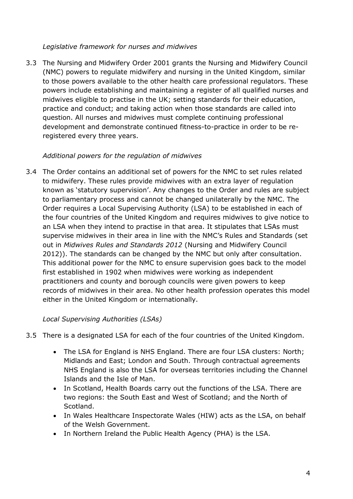#### *Legislative framework for nurses and midwives*

3.3 The Nursing and Midwifery Order 2001 grants the Nursing and Midwifery Council (NMC) powers to regulate midwifery and nursing in the United Kingdom, similar to those powers available to the other health care professional regulators. These powers include establishing and maintaining a register of all qualified nurses and midwives eligible to practise in the UK; setting standards for their education, practice and conduct; and taking action when those standards are called into question. All nurses and midwives must complete continuing professional development and demonstrate continued fitness-to-practice in order to be reregistered every three years.

#### *Additional powers for the regulation of midwives*

3.4 The Order contains an additional set of powers for the NMC to set rules related to midwifery. These rules provide midwives with an extra layer of regulation known as 'statutory supervision'. Any changes to the Order and rules are subject to parliamentary process and cannot be changed unilaterally by the NMC. The Order requires a Local Supervising Authority (LSA) to be established in each of the four countries of the United Kingdom and requires midwives to give notice to an LSA when they intend to practise in that area. It stipulates that LSAs must supervise midwives in their area in line with the NMC's Rules and Standards (set out in *Midwives Rules and Standards 2012* (Nursing and Midwifery Council 2012)). The standards can be changed by the NMC but only after consultation. This additional power for the NMC to ensure supervision goes back to the model first established in 1902 when midwives were working as independent practitioners and county and borough councils were given powers to keep records of midwives in their area. No other health profession operates this model either in the United Kingdom or internationally.

#### *Local Supervising Authorities (LSAs)*

- 3.5 There is a designated LSA for each of the four countries of the United Kingdom.
	- The LSA for England is NHS England. There are four LSA clusters: North; Midlands and East; London and South. Through contractual agreements NHS England is also the LSA for overseas territories including the Channel Islands and the Isle of Man.
	- In Scotland, Health Boards carry out the functions of the LSA. There are two regions: the South East and West of Scotland; and the North of Scotland.
	- In Wales Healthcare Inspectorate Wales (HIW) acts as the LSA, on behalf of the Welsh Government.
	- In Northern Ireland the Public Health Agency (PHA) is the LSA.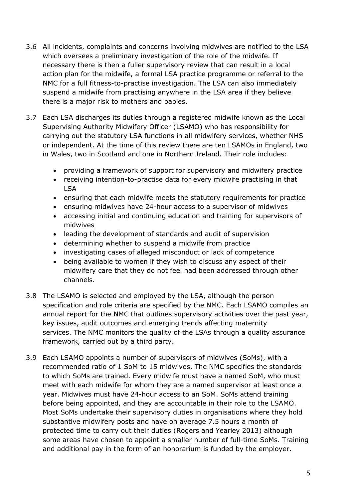- 3.6 All incidents, complaints and concerns involving midwives are notified to the LSA which oversees a preliminary investigation of the role of the midwife. If necessary there is then a fuller supervisory review that can result in a local action plan for the midwife, a formal LSA practice programme or referral to the NMC for a full fitness-to-practise investigation. The LSA can also immediately suspend a midwife from practising anywhere in the LSA area if they believe there is a major risk to mothers and babies.
- 3.7 Each LSA discharges its duties through a registered midwife known as the Local Supervising Authority Midwifery Officer (LSAMO) who has responsibility for carrying out the statutory LSA functions in all midwifery services, whether NHS or independent. At the time of this review there are ten LSAMOs in England, two in Wales, two in Scotland and one in Northern Ireland. Their role includes:
	- providing a framework of support for supervisory and midwifery practice
	- receiving intention-to-practise data for every midwife practising in that LSA
	- ensuring that each midwife meets the statutory requirements for practice
	- ensuring midwives have 24-hour access to a supervisor of midwives
	- accessing initial and continuing education and training for supervisors of midwives
	- leading the development of standards and audit of supervision
	- determining whether to suspend a midwife from practice
	- investigating cases of alleged misconduct or lack of competence
	- being available to women if they wish to discuss any aspect of their midwifery care that they do not feel had been addressed through other channels.
- 3.8 The LSAMO is selected and employed by the LSA, although the person specification and role criteria are specified by the NMC. Each LSAMO compiles an annual report for the NMC that outlines supervisory activities over the past year, key issues, audit outcomes and emerging trends affecting maternity services. The NMC monitors the quality of the LSAs through a quality assurance framework, carried out by a third party.
- 3.9 Each LSAMO appoints a number of supervisors of midwives (SoMs), with a recommended ratio of 1 SoM to 15 midwives. The NMC specifies the standards to which SoMs are trained. Every midwife must have a named SoM, who must meet with each midwife for whom they are a named supervisor at least once a year. Midwives must have 24-hour access to an SoM. SoMs attend training before being appointed, and they are accountable in their role to the LSAMO. Most SoMs undertake their supervisory duties in organisations where they hold substantive midwifery posts and have on average 7.5 hours a month of protected time to carry out their duties (Rogers and Yearley 2013) although some areas have chosen to appoint a smaller number of full-time SoMs. Training and additional pay in the form of an honorarium is funded by the employer.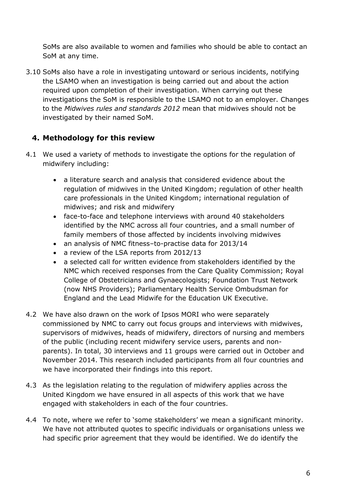SoMs are also available to women and families who should be able to contact an SoM at any time.

3.10 SoMs also have a role in investigating untoward or serious incidents, notifying the LSAMO when an investigation is being carried out and about the action required upon completion of their investigation. When carrying out these investigations the SoM is responsible to the LSAMO not to an employer. Changes to the *Midwives rules and standards 2012* mean that midwives should not be investigated by their named SoM.

#### <span id="page-14-0"></span>**4. Methodology for this review**

- 4.1 We used a variety of methods to investigate the options for the regulation of midwifery including:
	- a literature search and analysis that considered evidence about the regulation of midwives in the United Kingdom; regulation of other health care professionals in the United Kingdom; international regulation of midwives; and risk and midwifery
	- face-to-face and telephone interviews with around 40 stakeholders identified by the NMC across all four countries, and a small number of family members of those affected by incidents involving midwives
	- an analysis of NMC fitness–to-practise data for 2013/14
	- a review of the LSA reports from 2012/13
	- a selected call for written evidence from stakeholders identified by the NMC which received responses from the Care Quality Commission; Royal College of Obstetricians and Gynaecologists; Foundation Trust Network (now NHS Providers); Parliamentary Health Service Ombudsman for England and the Lead Midwife for the Education UK Executive.
- 4.2 We have also drawn on the work of Ipsos MORI who were separately commissioned by NMC to carry out focus groups and interviews with midwives, supervisors of midwives, heads of midwifery, directors of nursing and members of the public (including recent midwifery service users, parents and nonparents). In total, 30 interviews and 11 groups were carried out in October and November 2014. This research included participants from all four countries and we have incorporated their findings into this report.
- 4.3 As the legislation relating to the regulation of midwifery applies across the United Kingdom we have ensured in all aspects of this work that we have engaged with stakeholders in each of the four countries.
- 4.4 To note, where we refer to 'some stakeholders' we mean a significant minority. We have not attributed quotes to specific individuals or organisations unless we had specific prior agreement that they would be identified. We do identify the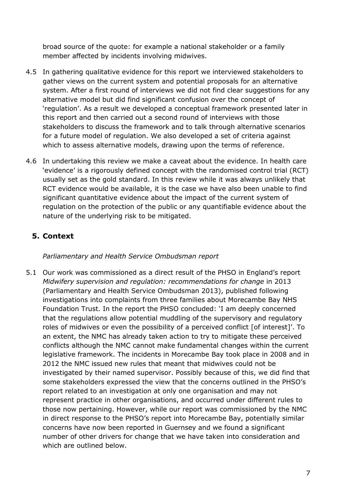broad source of the quote: for example a national stakeholder or a family member affected by incidents involving midwives.

- 4.5 In gathering qualitative evidence for this report we interviewed stakeholders to gather views on the current system and potential proposals for an alternative system. After a first round of interviews we did not find clear suggestions for any alternative model but did find significant confusion over the concept of 'regulation'. As a result we developed a conceptual framework presented later in this report and then carried out a second round of interviews with those stakeholders to discuss the framework and to talk through alternative scenarios for a future model of regulation. We also developed a set of criteria against which to assess alternative models, drawing upon the terms of reference.
- 4.6 In undertaking this review we make a caveat about the evidence. In health care 'evidence' is a rigorously defined concept with the randomised control trial (RCT) usually set as the gold standard. In this review while it was always unlikely that RCT evidence would be available, it is the case we have also been unable to find significant quantitative evidence about the impact of the current system of regulation on the protection of the public or any quantifiable evidence about the nature of the underlying risk to be mitigated.

### <span id="page-15-0"></span>**5. Context**

#### *Parliamentary and Health Service Ombudsman report*

5.1 Our work was commissioned as a direct result of the PHSO in England's report *Midwifery supervision and regulation: recommendations for change* in 2013 (Parliamentary and Health Service Ombudsman 2013), published following investigations into complaints from three families about Morecambe Bay NHS Foundation Trust. In the report the PHSO concluded: 'I am deeply concerned that the regulations allow potential muddling of the supervisory and regulatory roles of midwives or even the possibility of a perceived conflict [of interest]'. To an extent, the NMC has already taken action to try to mitigate these perceived conflicts although the NMC cannot make fundamental changes within the current legislative framework. The incidents in Morecambe Bay took place in 2008 and in 2012 the NMC issued new rules that meant that midwives could not be investigated by their named supervisor. Possibly because of this, we did find that some stakeholders expressed the view that the concerns outlined in the PHSO's report related to an investigation at only one organisation and may not represent practice in other organisations, and occurred under different rules to those now pertaining. However, while our report was commissioned by the NMC in direct response to the PHSO's report into Morecambe Bay, potentially similar concerns have now been reported in Guernsey and we found a significant number of other drivers for change that we have taken into consideration and which are outlined below.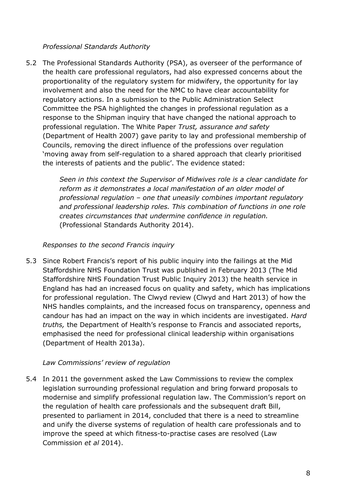#### *Professional Standards Authority*

5.2 The Professional Standards Authority (PSA), as overseer of the performance of the health care professional regulators, had also expressed concerns about the proportionality of the regulatory system for midwifery, the opportunity for lay involvement and also the need for the NMC to have clear accountability for regulatory actions. In a submission to the Public Administration Select Committee the PSA highlighted the changes in professional regulation as a response to the Shipman inquiry that have changed the national approach to professional regulation. The White Paper *Trust, assurance and safety* (Department of Health 2007) gave parity to lay and professional membership of Councils, removing the direct influence of the professions over regulation 'moving away from self-regulation to a shared approach that clearly prioritised the interests of patients and the public'. The evidence stated:

> *Seen in this context the Supervisor of Midwives role is a clear candidate for reform as it demonstrates a local manifestation of an older model of professional regulation – one that uneasily combines important regulatory and professional leadership roles. This combination of functions in one role creates circumstances that undermine confidence in regulation.*  (Professional Standards Authority 2014).

#### *Responses to the second Francis inquiry*

5.3 Since Robert Francis's report of his public inquiry into the failings at the Mid Staffordshire NHS Foundation Trust was published in February 2013 (The Mid Staffordshire NHS Foundation Trust Public Inquiry 2013) the health service in England has had an increased focus on quality and safety, which has implications for professional regulation. The Clwyd review (Clwyd and Hart 2013) of how the NHS handles complaints, and the increased focus on transparency, openness and candour has had an impact on the way in which incidents are investigated. *Hard truths,* the Department of Health's response to Francis and associated reports, emphasised the need for professional clinical leadership within organisations (Department of Health 2013a).

#### *Law Commissions' review of regulation*

5.4 In 2011 the government asked the Law Commissions to review the complex legislation surrounding professional regulation and bring forward proposals to modernise and simplify professional regulation law. The Commission's report on the regulation of health care professionals and the subsequent draft Bill, presented to parliament in 2014, concluded that there is a need to streamline and unify the diverse systems of regulation of health care professionals and to improve the speed at which fitness-to-practise cases are resolved (Law Commission *et al* 2014).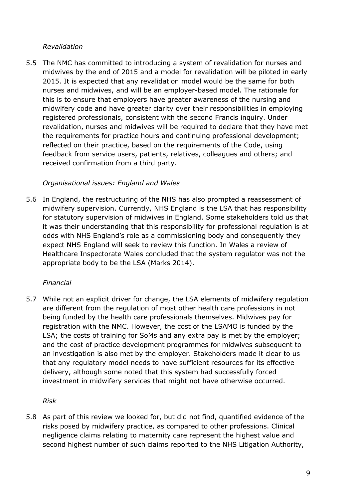#### *Revalidation*

5.5 The NMC has committed to introducing a system of revalidation for nurses and midwives by the end of 2015 and a model for revalidation will be piloted in early 2015. It is expected that any revalidation model would be the same for both nurses and midwives, and will be an employer-based model. The rationale for this is to ensure that employers have greater awareness of the nursing and midwifery code and have greater clarity over their responsibilities in employing registered professionals, consistent with the second Francis inquiry. Under revalidation, nurses and midwives will be required to declare that they have met the requirements for practice hours and continuing professional development; reflected on their practice, based on the requirements of the Code, using feedback from service users, patients, relatives, colleagues and others; and received confirmation from a third party.

#### *Organisational issues: England and Wales*

5.6 In England, the restructuring of the NHS has also prompted a reassessment of midwifery supervision. Currently, NHS England is the LSA that has responsibility for statutory supervision of midwives in England. Some stakeholders told us that it was their understanding that this responsibility for professional regulation is at odds with NHS England's role as a commissioning body and consequently they expect NHS England will seek to review this function. In Wales a review of Healthcare Inspectorate Wales concluded that the system regulator was not the appropriate body to be the LSA (Marks 2014).

#### *Financial*

5.7 While not an explicit driver for change, the LSA elements of midwifery regulation are different from the regulation of most other health care professions in not being funded by the health care professionals themselves. Midwives pay for registration with the NMC. However, the cost of the LSAMO is funded by the LSA; the costs of training for SoMs and any extra pay is met by the employer; and the cost of practice development programmes for midwives subsequent to an investigation is also met by the employer. Stakeholders made it clear to us that any regulatory model needs to have sufficient resources for its effective delivery, although some noted that this system had successfully forced investment in midwifery services that might not have otherwise occurred.

*Risk* 

5.8 As part of this review we looked for, but did not find, quantified evidence of the risks posed by midwifery practice, as compared to other professions. Clinical negligence claims relating to maternity care represent the highest value and second highest number of such claims reported to the NHS Litigation Authority,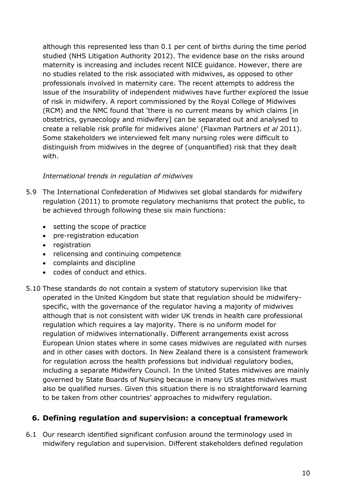although this represented less than 0.1 per cent of births during the time period studied (NHS Litigation Authority 2012). The evidence base on the risks around maternity is increasing and includes recent NICE guidance. However, there are no studies related to the risk associated with midwives, as opposed to other professionals involved in maternity care. The recent attempts to address the issue of the insurability of independent midwives have further explored the issue of risk in midwifery. A report commissioned by the Royal College of Midwives (RCM) and the NMC found that 'there is no current means by which claims [in obstetrics, gynaecology and midwifery] can be separated out and analysed to create a reliable risk profile for midwives alone' (Flaxman Partners *et al* 2011). Some stakeholders we interviewed felt many nursing roles were difficult to distinguish from midwives in the degree of (unquantified) risk that they dealt with.

#### *International trends in regulation of midwives*

- 5.9 The International Confederation of Midwives set global standards for midwifery regulation (2011) to promote regulatory mechanisms that protect the public, to be achieved through following these six main functions:
	- setting the scope of practice
	- pre-registration education
	- registration
	- relicensing and continuing competence
	- complaints and discipline
	- codes of conduct and ethics.
- 5.10 These standards do not contain a system of statutory supervision like that operated in the United Kingdom but state that regulation should be midwiferyspecific, with the governance of the regulator having a majority of midwives although that is not consistent with wider UK trends in health care professional regulation which requires a lay majority. There is no uniform model for regulation of midwives internationally. Different arrangements exist across European Union states where in some cases midwives are regulated with nurses and in other cases with doctors. In New Zealand there is a consistent framework for regulation across the health professions but individual regulatory bodies, including a separate Midwifery Council. In the United States midwives are mainly governed by State Boards of Nursing because in many US states midwives must also be qualified nurses. Given this situation there is no straightforward learning to be taken from other countries' approaches to midwifery regulation.

#### <span id="page-18-0"></span>**6. Defining regulation and supervision: a conceptual framework**

6.1 Our research identified significant confusion around the terminology used in midwifery regulation and supervision. Different stakeholders defined regulation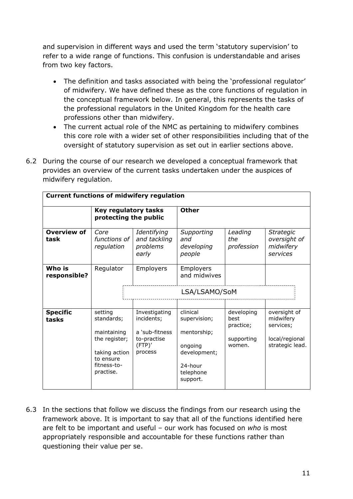and supervision in different ways and used the term 'statutory supervision' to refer to a wide range of functions. This confusion is understandable and arises from two key factors.

- The definition and tasks associated with being the 'professional regulator' of midwifery. We have defined these as the core functions of regulation in the conceptual framework below. In general, this represents the tasks of the professional regulators in the United Kingdom for the health care professions other than midwifery.
- The current actual role of the NMC as pertaining to midwifery combines this core role with a wider set of other responsibilities including that of the oversight of statutory supervision as set out in earlier sections above.
- 6.2 During the course of our research we developed a conceptual framework that provides an overview of the current tasks undertaken under the auspices of midwifery regulation.

| <b>Current functions of midwifery regulation</b> |                                                                                                                 |                                                                                   |                                                                                                        |                                                         |                                                                             |  |  |  |  |  |
|--------------------------------------------------|-----------------------------------------------------------------------------------------------------------------|-----------------------------------------------------------------------------------|--------------------------------------------------------------------------------------------------------|---------------------------------------------------------|-----------------------------------------------------------------------------|--|--|--|--|--|
|                                                  | Key regulatory tasks<br>protecting the public                                                                   |                                                                                   | <b>Other</b>                                                                                           |                                                         |                                                                             |  |  |  |  |  |
| <b>Overview of</b><br>task                       | Core<br>functions of<br>regulation                                                                              | Identifying<br>and tackling<br>problems<br>early                                  | Supporting<br>and<br>developing<br>people                                                              | Leading<br>the<br>profession                            | <b>Strategic</b><br>oversight of<br>midwifery<br>services                   |  |  |  |  |  |
| Who is<br>responsible?                           | Regulator                                                                                                       | Employers                                                                         | <b>Employers</b><br>and midwives                                                                       |                                                         |                                                                             |  |  |  |  |  |
|                                                  |                                                                                                                 |                                                                                   | LSA/LSAMO/SoM                                                                                          |                                                         |                                                                             |  |  |  |  |  |
| <b>Specific</b><br>tasks                         | setting<br>standards;<br>maintaining<br>the register;<br>taking action<br>to ensure<br>fitness-to-<br>practise. | Investigating<br>incidents;<br>a 'sub-fitness<br>to-practise<br>(FTP)'<br>process | clinical<br>supervision;<br>mentorship;<br>ongoing<br>development;<br>24-hour<br>telephone<br>support. | developing<br>best<br>practice;<br>supporting<br>women. | oversight of<br>midwifery<br>services;<br>local/regional<br>strategic lead. |  |  |  |  |  |

6.3 In the sections that follow we discuss the findings from our research using the framework above. It is important to say that all of the functions identified here are felt to be important and useful – our work has focused on *who* is most appropriately responsible and accountable for these functions rather than questioning their value per se.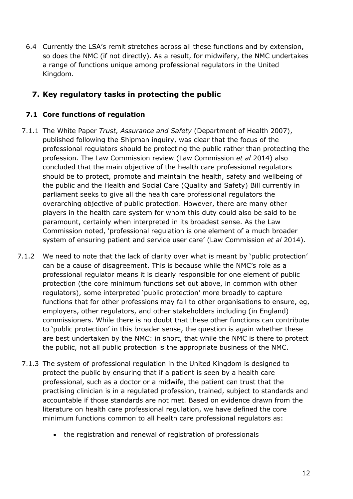6.4 Currently the LSA's remit stretches across all these functions and by extension, so does the NMC (if not directly). As a result, for midwifery, the NMC undertakes a range of functions unique among professional regulators in the United Kingdom.

### <span id="page-20-0"></span>**7. Key regulatory tasks in protecting the public**

#### <span id="page-20-1"></span>**7.1 Core functions of regulation**

- 7.1.1 The White Paper *Trust, Assurance and Safety* (Department of Health 2007), published following the Shipman inquiry, was clear that the focus of the professional regulators should be protecting the public rather than protecting the profession. The Law Commission review (Law Commission *et al* 2014) also concluded that the main objective of the health care professional regulators should be to protect, promote and maintain the health, safety and wellbeing of the public and the Health and Social Care (Quality and Safety) Bill currently in parliament seeks to give all the health care professional regulators the overarching objective of public protection. However, there are many other players in the health care system for whom this duty could also be said to be paramount, certainly when interpreted in its broadest sense. As the Law Commission noted, 'professional regulation is one element of a much broader system of ensuring patient and service user care' (Law Commission *et al* 2014).
- 7.1.2 We need to note that the lack of clarity over what is meant by 'public protection' can be a cause of disagreement. This is because while the NMC's role as a professional regulator means it is clearly responsible for one element of public protection (the core minimum functions set out above, in common with other regulators), some interpreted 'public protection' more broadly to capture functions that for other professions may fall to other organisations to ensure, eg, employers, other regulators, and other stakeholders including (in England) commissioners. While there is no doubt that these other functions can contribute to 'public protection' in this broader sense, the question is again whether these are best undertaken by the NMC: in short, that while the NMC is there to protect the public, not all public protection is the appropriate business of the NMC.
	- 7.1.3 The system of professional regulation in the United Kingdom is designed to protect the public by ensuring that if a patient is seen by a health care professional, such as a doctor or a midwife, the patient can trust that the practising clinician is in a regulated profession, trained, subject to standards and accountable if those standards are not met. Based on evidence drawn from the literature on health care professional regulation, we have defined the core minimum functions common to all health care professional regulators as:
		- the registration and renewal of registration of professionals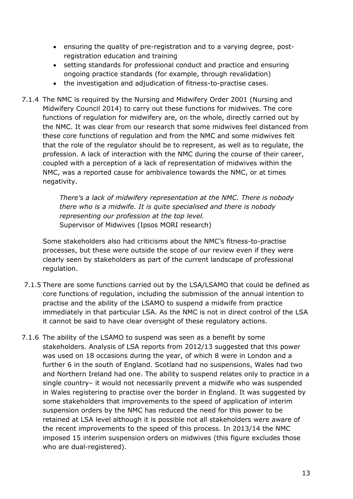- ensuring the quality of pre-registration and to a varying degree, postregistration education and training
- setting standards for professional conduct and practice and ensuring ongoing practice standards (for example, through revalidation)
- the investigation and adjudication of fitness-to-practise cases.
- 7.1.4 The NMC is required by the Nursing and Midwifery Order 2001 (Nursing and Midwifery Council 2014) to carry out these functions for midwives. The core functions of regulation for midwifery are, on the whole, directly carried out by the NMC. It was clear from our research that some midwives feel distanced from these core functions of regulation and from the NMC and some midwives felt that the role of the regulator should be to represent, as well as to regulate, the profession. A lack of interaction with the NMC during the course of their career, coupled with a perception of a lack of representation of midwives within the NMC, was a reported cause for ambivalence towards the NMC, or at times negativity.

*There's a lack of midwifery representation at the NMC. There is nobody there who is a midwife. It is quite specialised and there is nobody representing our profession at the top level.* Supervisor of Midwives (Ipsos MORI research)

Some stakeholders also had criticisms about the NMC's fitness-to-practise processes, but these were outside the scope of our review even if they were clearly seen by stakeholders as part of the current landscape of professional regulation.

- 7.1.5 There are some functions carried out by the LSA/LSAMO that could be defined as core functions of regulation, including the submission of the annual intention to practise and the ability of the LSAMO to suspend a midwife from practice immediately in that particular LSA. As the NMC is not in direct control of the LSA it cannot be said to have clear oversight of these regulatory actions.
- 7.1.6 The ability of the LSAMO to suspend was seen as a benefit by some stakeholders. Analysis of LSA reports from 2012/13 suggested that this power was used on 18 occasions during the year, of which 8 were in London and a further 6 in the south of England. Scotland had no suspensions, Wales had two and Northern Ireland had one. The ability to suspend relates only to practice in a single country– it would not necessarily prevent a midwife who was suspended in Wales registering to practise over the border in England. It was suggested by some stakeholders that improvements to the speed of application of interim suspension orders by the NMC has reduced the need for this power to be retained at LSA level although it is possible not all stakeholders were aware of the recent improvements to the speed of this process. In 2013/14 the NMC imposed 15 interim suspension orders on midwives (this figure excludes those who are dual-registered).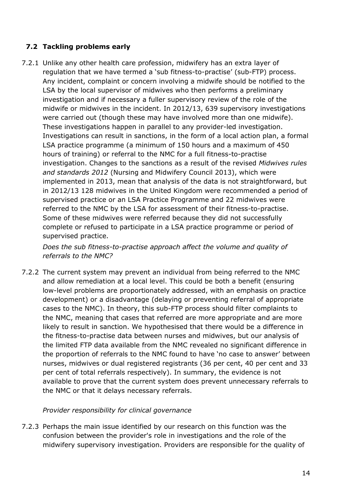#### <span id="page-22-0"></span>**7.2 Tackling problems early**

7.2.1 Unlike any other health care profession, midwifery has an extra layer of regulation that we have termed a 'sub fitness-to-practise' (sub-FTP) process. Any incident, complaint or concern involving a midwife should be notified to the LSA by the local supervisor of midwives who then performs a preliminary investigation and if necessary a fuller supervisory review of the role of the midwife or midwives in the incident. In 2012/13, 639 supervisory investigations were carried out (though these may have involved more than one midwife). These investigations happen in parallel to any provider-led investigation. Investigations can result in sanctions, in the form of a local action plan, a formal LSA practice programme (a minimum of 150 hours and a maximum of 450 hours of training) or referral to the NMC for a full fitness-to-practise investigation. Changes to the sanctions as a result of the revised *Midwives rules and standards 2012* (Nursing and Midwifery Council 2013), which were implemented in 2013, mean that analysis of the data is not straightforward, but in 2012/13 128 midwives in the United Kingdom were recommended a period of supervised practice or an LSA Practice Programme and 22 midwives were referred to the NMC by the LSA for assessment of their fitness-to-practise. Some of these midwives were referred because they did not successfully complete or refused to participate in a LSA practice programme or period of supervised practice.

*Does the sub fitness-to-practise approach affect the volume and quality of referrals to the NMC?* 

7.2.2 The current system may prevent an individual from being referred to the NMC and allow remediation at a local level. This could be both a benefit (ensuring low-level problems are proportionately addressed, with an emphasis on practice development) or a disadvantage (delaying or preventing referral of appropriate cases to the NMC). In theory, this sub-FTP process should filter complaints to the NMC, meaning that cases that referred are more appropriate and are more likely to result in sanction. We hypothesised that there would be a difference in the fitness-to-practise data between nurses and midwives, but our analysis of the limited FTP data available from the NMC revealed no significant difference in the proportion of referrals to the NMC found to have 'no case to answer' between nurses, midwives or dual registered registrants (36 per cent, 40 per cent and 33 per cent of total referrals respectively). In summary, the evidence is not available to prove that the current system does prevent unnecessary referrals to the NMC or that it delays necessary referrals.

#### *Provider responsibility for clinical governance*

7.2.3 Perhaps the main issue identified by our research on this function was the confusion between the provider's role in investigations and the role of the midwifery supervisory investigation. Providers are responsible for the quality of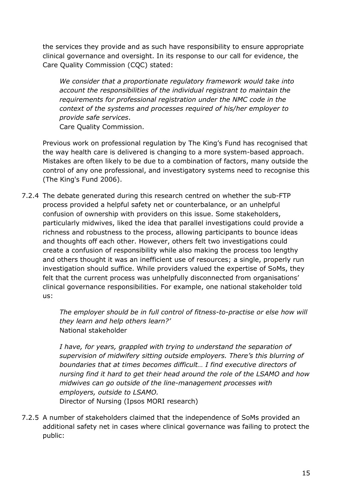the services they provide and as such have responsibility to ensure appropriate clinical governance and oversight. In its response to our call for evidence, the Care Quality Commission (CQC) stated:

*We consider that a proportionate regulatory framework would take into account the responsibilities of the individual registrant to maintain the requirements for professional registration under the NMC code in the context of the systems and processes required of his/her employer to provide safe services*.

Care Quality Commission.

Previous work on professional regulation by The King's Fund has recognised that the way health care is delivered is changing to a more system-based approach. Mistakes are often likely to be due to a combination of factors, many outside the control of any one professional, and investigatory systems need to recognise this (The King's Fund 2006).

7.2.4 The debate generated during this research centred on whether the sub-FTP process provided a helpful safety net or counterbalance, or an unhelpful confusion of ownership with providers on this issue. Some stakeholders, particularly midwives, liked the idea that parallel investigations could provide a richness and robustness to the process, allowing participants to bounce ideas and thoughts off each other. However, others felt two investigations could create a confusion of responsibility while also making the process too lengthy and others thought it was an inefficient use of resources; a single, properly run investigation should suffice. While providers valued the expertise of SoMs, they felt that the current process was unhelpfully disconnected from organisations' clinical governance responsibilities. For example, one national stakeholder told us:

> *The employer should be in full control of fitness-to-practise or else how will they learn and help others learn?'* National stakeholder

> *I have, for years, grappled with trying to understand the separation of supervision of midwifery sitting outside employers. There's this blurring of boundaries that at times becomes difficult… I find executive directors of nursing find it hard to get their head around the role of the LSAMO and how midwives can go outside of the line-management processes with employers, outside to LSAMO.*  Director of Nursing (Ipsos MORI research)

7.2.5 A number of stakeholders claimed that the independence of SoMs provided an additional safety net in cases where clinical governance was failing to protect the public: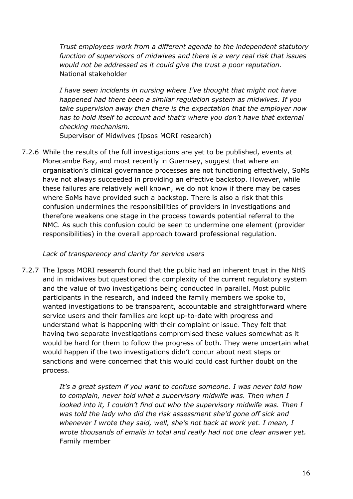*Trust employees work from a different agenda to the independent statutory function of supervisors of midwives and there is a very real risk that issues would not be addressed as it could give the trust a poor reputation.*  National stakeholder

*I have seen incidents in nursing where I've thought that might not have happened had there been a similar regulation system as midwives. If you take supervision away then there is the expectation that the employer now has to hold itself to account and that's where you don't have that external checking mechanism.* 

Supervisor of Midwives (Ipsos MORI research)

7.2.6 While the results of the full investigations are yet to be published, events at Morecambe Bay, and most recently in Guernsey, suggest that where an organisation's clinical governance processes are not functioning effectively, SoMs have not always succeeded in providing an effective backstop. However, while these failures are relatively well known, we do not know if there may be cases where SoMs have provided such a backstop. There is also a risk that this confusion undermines the responsibilities of providers in investigations and therefore weakens one stage in the process towards potential referral to the NMC. As such this confusion could be seen to undermine one element (provider responsibilities) in the overall approach toward professional regulation.

#### *Lack of transparency and clarity for service users*

7.2.7 The Ipsos MORI research found that the public had an inherent trust in the NHS and in midwives but questioned the complexity of the current regulatory system and the value of two investigations being conducted in parallel. Most public participants in the research, and indeed the family members we spoke to, wanted investigations to be transparent, accountable and straightforward where service users and their families are kept up-to-date with progress and understand what is happening with their complaint or issue. They felt that having two separate investigations compromised these values somewhat as it would be hard for them to follow the progress of both. They were uncertain what would happen if the two investigations didn't concur about next steps or sanctions and were concerned that this would could cast further doubt on the process.

> *It's a great system if you want to confuse someone. I was never told how to complain, never told what a supervisory midwife was. Then when I looked into it, I couldn't find out who the supervisory midwife was. Then I was told the lady who did the risk assessment she'd gone off sick and whenever I wrote they said, well, she's not back at work yet. I mean, I wrote thousands of emails in total and really had not one clear answer yet.*  Family member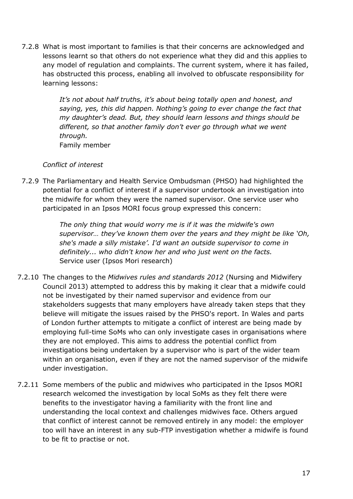7.2.8 What is most important to families is that their concerns are acknowledged and lessons learnt so that others do not experience what they did and this applies to any model of regulation and complaints. The current system, where it has failed, has obstructed this process, enabling all involved to obfuscate responsibility for learning lessons:

> It's not about half truths, it's about being totally open and honest, and *saying, yes, this did happen. Nothing's going to ever change the fact that my daughter's dead. But, they should learn lessons and things should be different, so that another family don't ever go through what we went through.*  Family member

#### *Conflict of interest*

7.2.9 The Parliamentary and Health Service Ombudsman (PHSO) had highlighted the potential for a conflict of interest if a supervisor undertook an investigation into the midwife for whom they were the named supervisor. One service user who participated in an Ipsos MORI focus group expressed this concern:

> *The only thing that would worry me is if it was the midwife's own supervisor… they've known them over the years and they might be like 'Oh, she's made a silly mistake'. I'd want an outside supervisor to come in definitely... who didn't know her and who just went on the facts.*  Service user (Ipsos Mori research)

- 7.2.10 The changes to the *Midwives rules and standards 2012* (Nursing and Midwifery Council 2013) attempted to address this by making it clear that a midwife could not be investigated by their named supervisor and evidence from our stakeholders suggests that many employers have already taken steps that they believe will mitigate the issues raised by the PHSO's report. In Wales and parts of London further attempts to mitigate a conflict of interest are being made by employing full-time SoMs who can only investigate cases in organisations where they are not employed. This aims to address the potential conflict from investigations being undertaken by a supervisor who is part of the wider team within an organisation, even if they are not the named supervisor of the midwife under investigation.
- 7.2.11 Some members of the public and midwives who participated in the Ipsos MORI research welcomed the investigation by local SoMs as they felt there were benefits to the investigator having a familiarity with the front line and understanding the local context and challenges midwives face. Others argued that conflict of interest cannot be removed entirely in any model: the employer too will have an interest in any sub-FTP investigation whether a midwife is found to be fit to practise or not.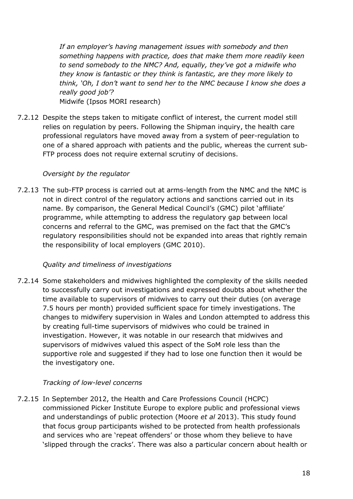*If an employer's having management issues with somebody and then something happens with practice, does that make them more readily keen to send somebody to the NMC? And, equally, they've got a midwife who they know is fantastic or they think is fantastic, are they more likely to think, 'Oh, I don't want to send her to the NMC because I know she does a really good job'?* 

Midwife (Ipsos MORI research)

7.2.12 Despite the steps taken to mitigate conflict of interest, the current model still relies on regulation by peers. Following the Shipman inquiry, the health care professional regulators have moved away from a system of peer-regulation to one of a shared approach with patients and the public, whereas the current sub-FTP process does not require external scrutiny of decisions.

#### *Oversight by the regulator*

7.2.13 The sub-FTP process is carried out at arms-length from the NMC and the NMC is not in direct control of the regulatory actions and sanctions carried out in its name. By comparison, the General Medical Council's (GMC) pilot 'affiliate' programme, while attempting to address the regulatory gap between local concerns and referral to the GMC, was premised on the fact that the GMC's regulatory responsibilities should not be expanded into areas that rightly remain the responsibility of local employers (GMC 2010).

#### *Quality and timeliness of investigations*

7.2.14 Some stakeholders and midwives highlighted the complexity of the skills needed to successfully carry out investigations and expressed doubts about whether the time available to supervisors of midwives to carry out their duties (on average 7.5 hours per month) provided sufficient space for timely investigations. The changes to midwifery supervision in Wales and London attempted to address this by creating full-time supervisors of midwives who could be trained in investigation. However, it was notable in our research that midwives and supervisors of midwives valued this aspect of the SoM role less than the supportive role and suggested if they had to lose one function then it would be the investigatory one.

#### *Tracking of low-level concerns*

7.2.15 In September 2012, the Health and Care Professions Council (HCPC) commissioned Picker Institute Europe to explore public and professional views and understandings of public protection (Moore *et al* 2013). This study found that focus group participants wished to be protected from health professionals and services who are 'repeat offenders' or those whom they believe to have 'slipped through the cracks'. There was also a particular concern about health or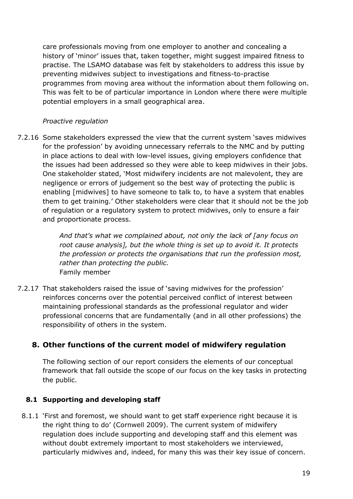care professionals moving from one employer to another and concealing a history of 'minor' issues that, taken together, might suggest impaired fitness to practise. The LSAMO database was felt by stakeholders to address this issue by preventing midwives subject to investigations and fitness-to-practise programmes from moving area without the information about them following on. This was felt to be of particular importance in London where there were multiple potential employers in a small geographical area.

#### *Proactive regulation*

7.2.16 Some stakeholders expressed the view that the current system 'saves midwives for the profession' by avoiding unnecessary referrals to the NMC and by putting in place actions to deal with low-level issues, giving employers confidence that the issues had been addressed so they were able to keep midwives in their jobs. One stakeholder stated, 'Most midwifery incidents are not malevolent, they are negligence or errors of judgement so the best way of protecting the public is enabling [midwives] to have someone to talk to, to have a system that enables them to get training.' Other stakeholders were clear that it should not be the job of regulation or a regulatory system to protect midwives, only to ensure a fair and proportionate process.

> *And that's what we complained about, not only the lack of [any focus on root cause analysis], but the whole thing is set up to avoid it. It protects the profession or protects the organisations that run the profession most, rather than protecting the public.*  Family member

7.2.17 That stakeholders raised the issue of 'saving midwives for the profession' reinforces concerns over the potential perceived conflict of interest between maintaining professional standards as the professional regulator and wider professional concerns that are fundamentally (and in all other professions) the responsibility of others in the system.

#### <span id="page-27-0"></span>**8. Other functions of the current model of midwifery regulation**

The following section of our report considers the elements of our conceptual framework that fall outside the scope of our focus on the key tasks in protecting the public.

#### <span id="page-27-1"></span>**8.1 Supporting and developing staff**

8.1.1 'First and foremost, we should want to get staff experience right because it is the right thing to do' (Cornwell 2009). The current system of midwifery regulation does include supporting and developing staff and this element was without doubt extremely important to most stakeholders we interviewed, particularly midwives and, indeed, for many this was their key issue of concern.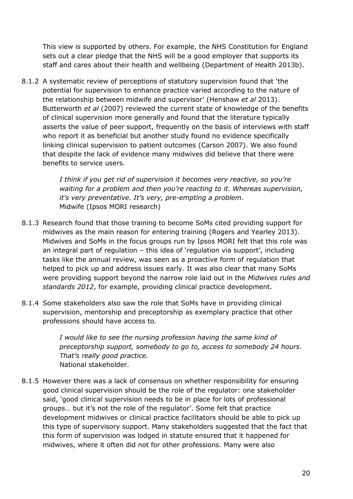This view is supported by others. For example, the NHS Constitution for England sets out a clear pledge that the NHS will be a good employer that supports its staff and cares about their health and wellbeing (Department of Health 2013b).

8.1.2 A systematic review of perceptions of statutory supervision found that 'the potential for supervision to enhance practice varied according to the nature of the relationship between midwife and supervisor' (Henshaw *et al* 2013). Butterworth *et al* (2007) reviewed the current state of knowledge of the benefits of clinical supervision more generally and found that the literature typically asserts the value of peer support, frequently on the basis of interviews with staff who report it as beneficial but another study found no evidence specifically linking clinical supervision to patient outcomes (Carson 2007). We also found that despite the lack of evidence many midwives did believe that there were benefits to service users.

> *I think if you get rid of supervision it becomes very reactive, so you're waiting for a problem and then you're reacting to it. Whereas supervision, it's very preventative. It's very, pre-empting a problem.*  Midwife (Ipsos MORI research)

- 8.1.3 Research found that those training to become SoMs cited providing support for midwives as the main reason for entering training (Rogers and Yearley 2013). Midwives and SoMs in the focus groups run by Ipsos MORI felt that this role was an integral part of regulation – this idea of 'regulation via support', including tasks like the annual review, was seen as a proactive form of regulation that helped to pick up and address issues early. It was also clear that many SoMs were providing support beyond the narrow role laid out in the *Midwives rules and standards 2012*, for example, providing clinical practice development.
- 8.1.4 Some stakeholders also saw the role that SoMs have in providing clinical supervision, mentorship and preceptorship as exemplary practice that other professions should have access to*.*

*I would like to see the nursing profession having the same kind of preceptorship support, somebody to go to, access to somebody 24 hours. That's really good practice.* National stakeholder.

8.1.5 However there was a lack of consensus on whether responsibility for ensuring good clinical supervision should be the role of the regulator: one stakeholder said, 'good clinical supervision needs to be in place for lots of professional groups… but it's not the role of the regulator'. Some felt that practice development midwives or clinical practice facilitators should be able to pick up this type of supervisory support. Many stakeholders suggested that the fact that this form of supervision was lodged in statute ensured that it happened for midwives, where it often did not for other professions. Many were also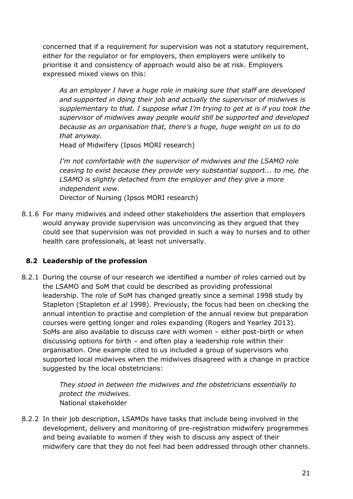concerned that if a requirement for supervision was not a statutory requirement, either for the regulator or for employers, then employers were unlikely to prioritise it and consistency of approach would also be at risk. Employers expressed mixed views on this:

*As an employer I have a huge role in making sure that staff are developed and supported in doing their job and actually the supervisor of midwives is supplementary to that. I suppose what I'm trying to get at is if you took the supervisor of midwives away people would still be supported and developed because as an organisation that, there's a huge, huge weight on us to do that anyway.* 

Head of Midwifery (Ipsos MORI research)

*I'm not comfortable with the supervisor of midwives and the LSAMO role ceasing to exist because they provide very substantial support... to me, the LSAMO is slightly detached from the employer and they give a more independent view*. Director of Nursing (Ipsos MORI research)

8.1.6 For many midwives and indeed other stakeholders the assertion that employers would anyway provide supervision was unconvincing as they argued that they could see that supervision was not provided in such a way to nurses and to other health care professionals, at least not universally.

#### <span id="page-29-0"></span>**8.2 Leadership of the profession**

8.2.1 During the course of our research we identified a number of roles carried out by the LSAMO and SoM that could be described as providing professional leadership. The role of SoM has changed greatly since a seminal 1998 study by Stapleton (Stapleton *et al* 1998). Previously, the focus had been on checking the annual intention to practise and completion of the annual review but preparation courses were getting longer and roles expanding (Rogers and Yearley 2013). SoMs are also available to discuss care with women – either post-birth or when discussing options for birth – and often play a leadership role within their organisation. One example cited to us included a group of supervisors who supported local midwives when the midwives disagreed with a change in practice suggested by the local obstetricians:

> *They stood in between the midwives and the obstetricians essentially to protect the midwives.*  National stakeholder

8.2.2 In their job description, LSAMOs have tasks that include being involved in the development, delivery and monitoring of pre-registration midwifery programmes and being available to women if they wish to discuss any aspect of their midwifery care that they do not feel had been addressed through other channels.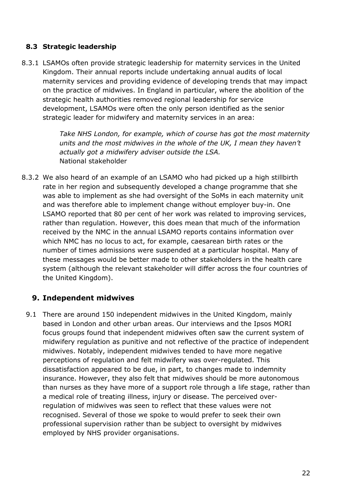#### <span id="page-30-0"></span>**8.3 Strategic leadership**

8.3.1 LSAMOs often provide strategic leadership for maternity services in the United Kingdom. Their annual reports include undertaking annual audits of local maternity services and providing evidence of developing trends that may impact on the practice of midwives. In England in particular, where the abolition of the strategic health authorities removed regional leadership for service development, LSAMOs were often the only person identified as the senior strategic leader for midwifery and maternity services in an area:

> *Take NHS London, for example, which of course has got the most maternity units and the most midwives in the whole of the UK, I mean they haven't actually got a midwifery adviser outside the LSA.*  National stakeholder

8.3.2 We also heard of an example of an LSAMO who had picked up a high stillbirth rate in her region and subsequently developed a change programme that she was able to implement as she had oversight of the SoMs in each maternity unit and was therefore able to implement change without employer buy-in. One LSAMO reported that 80 per cent of her work was related to improving services, rather than regulation. However, this does mean that much of the information received by the NMC in the annual LSAMO reports contains information over which NMC has no locus to act, for example, caesarean birth rates or the number of times admissions were suspended at a particular hospital. Many of these messages would be better made to other stakeholders in the health care system (although the relevant stakeholder will differ across the four countries of the United Kingdom).

#### <span id="page-30-1"></span>**9. Independent midwives**

9.1 There are around 150 independent midwives in the United Kingdom, mainly based in London and other urban areas. Our interviews and the Ipsos MORI focus groups found that independent midwives often saw the current system of midwifery regulation as punitive and not reflective of the practice of independent midwives. Notably, independent midwives tended to have more negative perceptions of regulation and felt midwifery was over-regulated. This dissatisfaction appeared to be due, in part, to changes made to indemnity insurance. However, they also felt that midwives should be more autonomous than nurses as they have more of a support role through a life stage, rather than a medical role of treating illness, injury or disease. The perceived overregulation of midwives was seen to reflect that these values were not recognised. Several of those we spoke to would prefer to seek their own professional supervision rather than be subject to oversight by midwives employed by NHS provider organisations.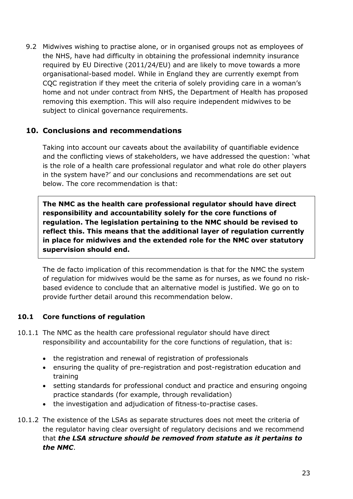9.2 Midwives wishing to practise alone, or in organised groups not as employees of the NHS, have had difficulty in obtaining the professional indemnity insurance required by EU Directive (2011/24/EU) and are likely to move towards a more organisational-based model. While in England they are currently exempt from CQC registration if they meet the criteria of solely providing care in a woman's home and not under contract from NHS, the Department of Health has proposed removing this exemption. This will also require independent midwives to be subject to clinical governance requirements.

#### <span id="page-31-0"></span>**10. Conclusions and recommendations**

Taking into account our caveats about the availability of quantifiable evidence and the conflicting views of stakeholders, we have addressed the question: 'what is the role of a health care professional regulator and what role do other players in the system have?' and our conclusions and recommendations are set out below. The core recommendation is that:

**The NMC as the health care professional regulator should have direct responsibility and accountability solely for the core functions of regulation. The legislation pertaining to the NMC should be revised to reflect this. This means that the additional layer of regulation currently in place for midwives and the extended role for the NMC over statutory supervision should end.** 

The de facto implication of this recommendation is that for the NMC the system of regulation for midwives would be the same as for nurses, as we found no riskbased evidence to conclude that an alternative model is justified. We go on to provide further detail around this recommendation below.

#### <span id="page-31-1"></span>**10.1 Core functions of regulation**

- 10.1.1 The NMC as the health care professional regulator should have direct responsibility and accountability for the core functions of regulation, that is:
	- the registration and renewal of registration of professionals
	- ensuring the quality of pre-registration and post-registration education and training
	- setting standards for professional conduct and practice and ensuring ongoing practice standards (for example, through revalidation)
	- the investigation and adjudication of fitness-to-practise cases.
- 10.1.2 The existence of the LSAs as separate structures does not meet the criteria of the regulator having clear oversight of regulatory decisions and we recommend that *the LSA structure should be removed from statute as it pertains to the NMC*.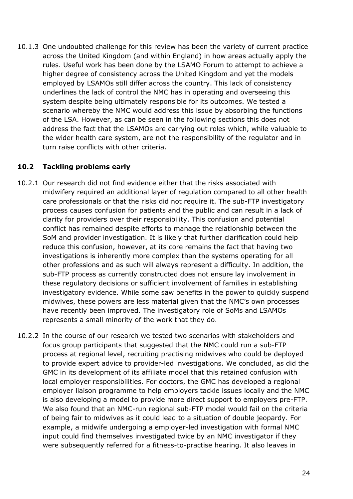10.1.3 One undoubted challenge for this review has been the variety of current practice across the United Kingdom (and within England) in how areas actually apply the rules. Useful work has been done by the LSAMO Forum to attempt to achieve a higher degree of consistency across the United Kingdom and yet the models employed by LSAMOs still differ across the country. This lack of consistency underlines the lack of control the NMC has in operating and overseeing this system despite being ultimately responsible for its outcomes. We tested a scenario whereby the NMC would address this issue by absorbing the functions of the LSA. However, as can be seen in the following sections this does not address the fact that the LSAMOs are carrying out roles which, while valuable to the wider health care system, are not the responsibility of the regulator and in turn raise conflicts with other criteria.

#### <span id="page-32-0"></span>**10.2 Tackling problems early**

- 10.2.1 Our research did not find evidence either that the risks associated with midwifery required an additional layer of regulation compared to all other health care professionals or that the risks did not require it. The sub-FTP investigatory process causes confusion for patients and the public and can result in a lack of clarity for providers over their responsibility. This confusion and potential conflict has remained despite efforts to manage the relationship between the SoM and provider investigation. It is likely that further clarification could help reduce this confusion, however, at its core remains the fact that having two investigations is inherently more complex than the systems operating for all other professions and as such will always represent a difficulty. In addition, the sub-FTP process as currently constructed does not ensure lay involvement in these regulatory decisions or sufficient involvement of families in establishing investigatory evidence. While some saw benefits in the power to quickly suspend midwives, these powers are less material given that the NMC's own processes have recently been improved. The investigatory role of SoMs and LSAMOs represents a small minority of the work that they do.
- 10.2.2 In the course of our research we tested two scenarios with stakeholders and focus group participants that suggested that the NMC could run a sub-FTP process at regional level, recruiting practising midwives who could be deployed to provide expert advice to provider-led investigations. We concluded, as did the GMC in its development of its affiliate model that this retained confusion with local employer responsibilities. For doctors, the GMC has developed a regional employer liaison programme to help employers tackle issues locally and the NMC is also developing a model to provide more direct support to employers pre-FTP. We also found that an NMC-run regional sub-FTP model would fail on the criteria of being fair to midwives as it could lead to a situation of double jeopardy. For example, a midwife undergoing a employer-led investigation with formal NMC input could find themselves investigated twice by an NMC investigator if they were subsequently referred for a fitness-to-practise hearing. It also leaves in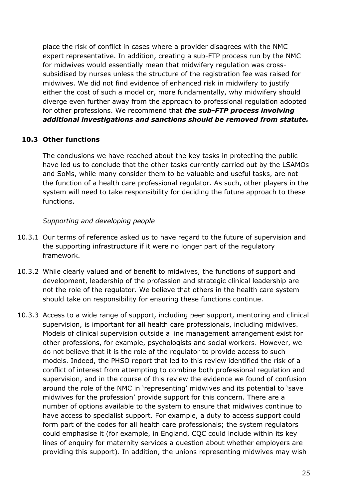place the risk of conflict in cases where a provider disagrees with the NMC expert representative. In addition, creating a sub-FTP process run by the NMC for midwives would essentially mean that midwifery regulation was crosssubsidised by nurses unless the structure of the registration fee was raised for midwives. We did not find evidence of enhanced risk in midwifery to justify either the cost of such a model or, more fundamentally, why midwifery should diverge even further away from the approach to professional regulation adopted for other professions. We recommend that *the sub-FTP process involving additional investigations and sanctions should be removed from statute.* 

#### <span id="page-33-0"></span>**10.3 Other functions**

The conclusions we have reached about the key tasks in protecting the public have led us to conclude that the other tasks currently carried out by the LSAMOs and SoMs, while many consider them to be valuable and useful tasks, are not the function of a health care professional regulator. As such, other players in the system will need to take responsibility for deciding the future approach to these functions.

#### *Supporting and developing people*

- 10.3.1 Our terms of reference asked us to have regard to the future of supervision and the supporting infrastructure if it were no longer part of the regulatory framework.
- 10.3.2 While clearly valued and of benefit to midwives, the functions of support and development, leadership of the profession and strategic clinical leadership are not the role of the regulator. We believe that others in the health care system should take on responsibility for ensuring these functions continue.
- 10.3.3 Access to a wide range of support, including peer support, mentoring and clinical supervision, is important for all health care professionals, including midwives. Models of clinical supervision outside a line management arrangement exist for other professions, for example, psychologists and social workers. However, we do not believe that it is the role of the regulator to provide access to such models. Indeed, the PHSO report that led to this review identified the risk of a conflict of interest from attempting to combine both professional regulation and supervision, and in the course of this review the evidence we found of confusion around the role of the NMC in 'representing' midwives and its potential to 'save midwives for the profession' provide support for this concern. There are a number of options available to the system to ensure that midwives continue to have access to specialist support. For example, a duty to access support could form part of the codes for all health care professionals; the system regulators could emphasise it (for example, in England, CQC could include within its key lines of enquiry for maternity services a question about whether employers are providing this support). In addition, the unions representing midwives may wish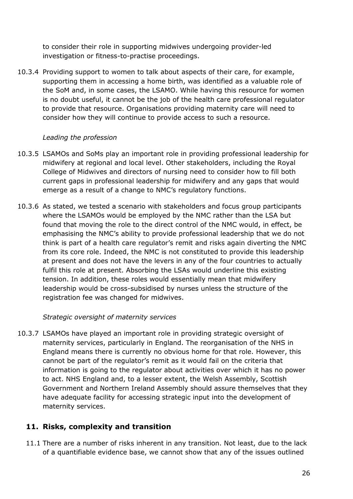to consider their role in supporting midwives undergoing provider-led investigation or fitness-to-practise proceedings.

10.3.4 Providing support to women to talk about aspects of their care, for example, supporting them in accessing a home birth, was identified as a valuable role of the SoM and, in some cases, the LSAMO. While having this resource for women is no doubt useful, it cannot be the job of the health care professional regulator to provide that resource. Organisations providing maternity care will need to consider how they will continue to provide access to such a resource.

#### *Leading the profession*

- 10.3.5 LSAMOs and SoMs play an important role in providing professional leadership for midwifery at regional and local level. Other stakeholders, including the Royal College of Midwives and directors of nursing need to consider how to fill both current gaps in professional leadership for midwifery and any gaps that would emerge as a result of a change to NMC's regulatory functions.
- 10.3.6 As stated, we tested a scenario with stakeholders and focus group participants where the LSAMOs would be employed by the NMC rather than the LSA but found that moving the role to the direct control of the NMC would, in effect, be emphasising the NMC's ability to provide professional leadership that we do not think is part of a health care regulator's remit and risks again diverting the NMC from its core role. Indeed, the NMC is not constituted to provide this leadership at present and does not have the levers in any of the four countries to actually fulfil this role at present. Absorbing the LSAs would underline this existing tension. In addition, these roles would essentially mean that midwifery leadership would be cross*-*subsidised by nurses unless the structure of the registration fee was changed for midwives.

#### *Strategic oversight of maternity services*

10.3.7 LSAMOs have played an important role in providing strategic oversight of maternity services, particularly in England. The reorganisation of the NHS in England means there is currently no obvious home for that role. However, this cannot be part of the regulator's remit as it would fail on the criteria that information is going to the regulator about activities over which it has no power to act. NHS England and, to a lesser extent, the Welsh Assembly, Scottish Government and Northern Ireland Assembly should assure themselves that they have adequate facility for accessing strategic input into the development of maternity services.

#### <span id="page-34-0"></span>**11. Risks, complexity and transition**

11.1 There are a number of risks inherent in any transition. Not least, due to the lack of a quantifiable evidence base, we cannot show that any of the issues outlined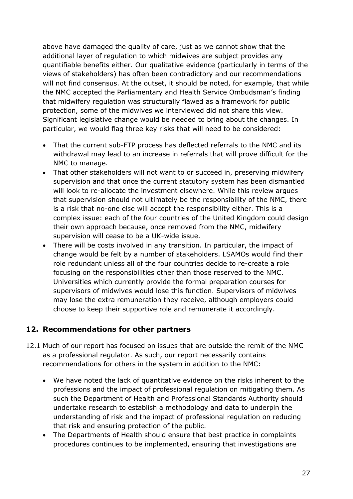above have damaged the quality of care, just as we cannot show that the additional layer of regulation to which midwives are subject provides any quantifiable benefits either. Our qualitative evidence (particularly in terms of the views of stakeholders) has often been contradictory and our recommendations will not find consensus. At the outset, it should be noted, for example, that while the NMC accepted the Parliamentary and Health Service Ombudsman's finding that midwifery regulation was structurally flawed as a framework for public protection, some of the midwives we interviewed did not share this view. Significant legislative change would be needed to bring about the changes. In particular, we would flag three key risks that will need to be considered:

- That the current sub-FTP process has deflected referrals to the NMC and its withdrawal may lead to an increase in referrals that will prove difficult for the NMC to manage.
- That other stakeholders will not want to or succeed in, preserving midwifery supervision and that once the current statutory system has been dismantled will look to re-allocate the investment elsewhere. While this review argues that supervision should not ultimately be the responsibility of the NMC, there is a risk that no-one else will accept the responsibility either. This is a complex issue: each of the four countries of the United Kingdom could design their own approach because, once removed from the NMC, midwifery supervision will cease to be a UK-wide issue.
- There will be costs involved in any transition. In particular, the impact of change would be felt by a number of stakeholders. LSAMOs would find their role redundant unless all of the four countries decide to re-create a role focusing on the responsibilities other than those reserved to the NMC. Universities which currently provide the formal preparation courses for supervisors of midwives would lose this function. Supervisors of midwives may lose the extra remuneration they receive, although employers could choose to keep their supportive role and remunerate it accordingly.

#### <span id="page-35-0"></span>**12. Recommendations for other partners**

- 12.1 Much of our report has focused on issues that are outside the remit of the NMC as a professional regulator. As such, our report necessarily contains recommendations for others in the system in addition to the NMC:
	- We have noted the lack of quantitative evidence on the risks inherent to the professions and the impact of professional regulation on mitigating them. As such the Department of Health and Professional Standards Authority should undertake research to establish a methodology and data to underpin the understanding of risk and the impact of professional regulation on reducing that risk and ensuring protection of the public.
	- The Departments of Health should ensure that best practice in complaints procedures continues to be implemented, ensuring that investigations are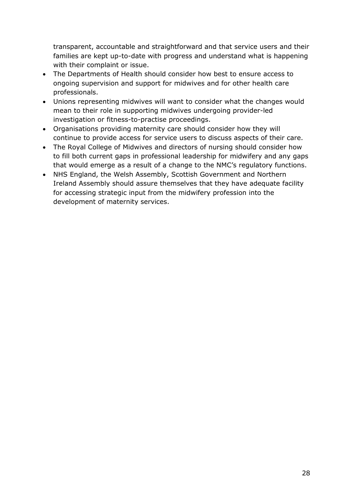transparent, accountable and straightforward and that service users and their families are kept up-to-date with progress and understand what is happening with their complaint or issue.

- The Departments of Health should consider how best to ensure access to ongoing supervision and support for midwives and for other health care professionals.
- Unions representing midwives will want to consider what the changes would mean to their role in supporting midwives undergoing provider-led investigation or fitness-to-practise proceedings.
- Organisations providing maternity care should consider how they will continue to provide access for service users to discuss aspects of their care.
- The Royal College of Midwives and directors of nursing should consider how to fill both current gaps in professional leadership for midwifery and any gaps that would emerge as a result of a change to the NMC's regulatory functions.
- NHS England, the Welsh Assembly, Scottish Government and Northern Ireland Assembly should assure themselves that they have adequate facility for accessing strategic input from the midwifery profession into the development of maternity services.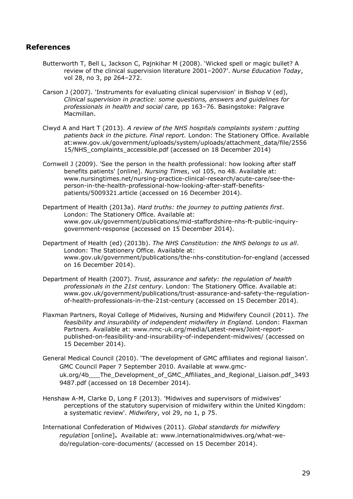#### <span id="page-37-0"></span>**References**

- Butterworth T, Bell L, Jackson C, Pajnkihar M (2008). 'Wicked spell or magic bullet? A review of the clinical supervision literature 2001–2007'. *Nurse Education Today*, vol 28, no 3, pp 264–272.
- Carson J (2007). 'Instruments for evaluating clinical supervision' in Bishop V (ed), *Clinical supervision in practice: some questions, answers and guidelines for professionals in health and social care,* pp 163–76. Basingstoke: Palgrave Macmillan.
- Clwyd A and Hart T (2013). *A review of the NHS hospitals complaints system : putting patients back in the picture. Final report.* London: The Stationery Office. Available at:www.gov.uk/government/uploads/system/uploads/attachment\_data/file/2556 15/NHS\_complaints\_accessible.pdf (accessed on 18 December 2014)
- Cornwell J (2009). 'See the person in the health professional: how looking after staff benefits patients' [online]. *Nursing Times*, vol 105, no 48. Available at: www.nursingtimes.net/nursing-practice-clinical-research/acute-care/see-theperson-in-the-health-professional-how-looking-after-staff-benefitspatients/5009321.article (accessed on 16 December 2014).
- Department of Health (2013a). *Hard truths: the journey to putting patients first*. London: The Stationery Office. Available at: www.gov.uk/government/publications/mid-staffordshire-nhs-ft-public-inquirygovernment-response (accessed on 15 December 2014).
- Department of Health (ed) (2013b). *The NHS Constitution: the NHS belongs to us all*. London: The Stationery Office. Available at: www.gov.uk/government/publications/the-nhs-constitution-for-england (accessed on 16 December 2014).
- Department of Health (2007). *Trust, assurance and safety: the regulation of health professionals in the 21st century*. London: The Stationery Office. Available at: www.gov.uk/government/publications/trust-assurance-and-safety-the-regulationof-health-professionals-in-the-21st-century (accessed on 15 December 2014).
- Flaxman Partners, Royal College of Midwives, Nursing and Midwifery Council (2011). *The feasibility and insurability of independent midwifery in England.* London: Flaxman Partners. Available at: www.nmc-uk.org/media/Latest-news/Joint-reportpublished-on-feasibility-and-insurability-of-independent-midwives/ (accessed on 15 December 2014).
- General Medical Council (2010). 'The development of GMC affiliates and regional liaison'. GMC Council Paper 7 September 2010. Available at www.gmcuk.org/4b The Development of GMC Affiliates and Regional Liaison.pdf 3493 9487.pdf (accessed on 18 December 2014).
- Henshaw A-M, Clarke D, Long F (2013). 'Midwives and supervisors of midwives' perceptions of the statutory supervision of midwifery within the United Kingdom: a systematic review'. *Midwifery*, vol 29, no 1, p 75.
- International Confederation of Midwives (2011). *Global standards for midwifery regulation* [online]**.** Available at: www.internationalmidwives.org/what-wedo/regulation-core-documents/ (accessed on 15 December 2014).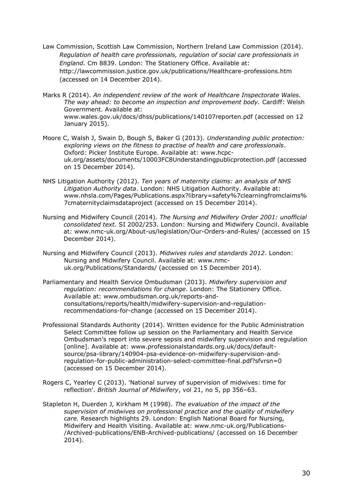- Law Commission, Scottish Law Commission, Northern Ireland Law Commission (2014). *Regulation of health care professionals, regulation of social care professionals in England.* Cm 8839. London: The Stationery Office. Available at: http://lawcommission.justice.gov.uk/publications/Healthcare-professions.htm (accessed on 14 December 2014).
- Marks R (2014). *An independent review of the work of Healthcare Inspectorate Wales. The way ahead: to become an inspection and improvement body.* Cardiff: Welsh Government. Available at: www.wales.gov.uk/docs/dhss/publications/140107reporten.pdf (accessed on 12 January 2015).
- Moore C, Walsh J, Swain D, Bough S, Baker G (2013). *Understanding public protection: exploring views on the fitness to practise of health and care professionals*. Oxford: Picker Institute Europe. Available at: www.hcpcuk.org/assets/documents/10003FC8Understandingpublicprotection.pdf (accessed on 15 December 2014).
- NHS Litigation Authority (2012). *Ten years of maternity claims: an analysis of NHS Litigation Authority data*. London: NHS Litigation Authority. Available at: www.nhsla.com/Pages/Publications.aspx?library=safety%7clearningfromclaims% 7cmaternityclaimsdataproject (accessed on 15 December 2014).
- Nursing and Midwifery Council (2014). *The Nursing and Midwifery Order 2001: unofficial consolidated text.* SI 2002/253. London: Nursing and Midwifery Council. Available at: www.nmc-uk.org/About-us/legislation/Our-Orders-and-Rules/ (accessed on 15 December 2014).
- Nursing and Midwifery Council (2013). *Midwives rules and standards 2012*. London: Nursing and Midwifery Council. Available at: www.nmcuk.org/Publications/Standards/ (accessed on 15 December 2014).
- Parliamentary and Health Service Ombudsman (2013). *Midwifery supervision and regulation: recommendations for change*. London: The Stationery Office. Available at: www.ombudsman.org.uk/reports-andconsultations/reports/health/midwifery-supervision-and-regulationrecommendations-for-change (accessed on 15 December 2014).
- Professional Standards Authority (2014). Written evidence for the Public Administration Select Committee follow up session on the Parliamentary and Health Service Ombudsman's report into severe sepsis and midwifery supervision and regulation [online]. Available at: www.professionalstandards.org.uk/docs/defaultsource/psa-library/140904-psa-evidence-on-midwifery-supervision-andregulation-for-public-administration-select-committee-final.pdf?sfvrsn=0 (accessed on 15 December 2014).
- Rogers C, Yearley C (2013). 'National survey of supervision of midwives: time for reflection'. *British Journal of Midwifery*, vol 21, no 5, pp 356–63.
- Stapleton H, Duerden J, Kirkham M (1998). *The evaluation of the impact of the supervision of midwives on professional practice and the quality of midwifery care.* Research highlights 29. London: English National Board for Nursing, Midwifery and Health Visiting. Available at: www.nmc-uk.org/Publications- /Archived-publications/ENB-Archived-publications/ (accessed on 16 December 2014).